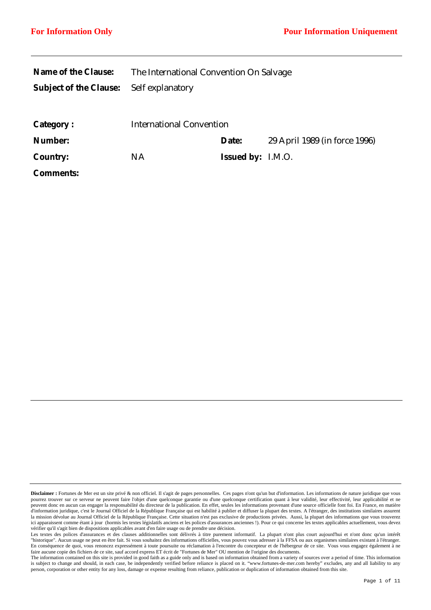| <b>Name of the Clause:</b>    | The International Convention On Salvage |                          |                               |
|-------------------------------|-----------------------------------------|--------------------------|-------------------------------|
| <b>Subject of the Clause:</b> | Self explanatory                        |                          |                               |
|                               |                                         |                          |                               |
| <b>Category:</b>              | <b>International Convention</b>         |                          |                               |
| Number:                       |                                         | Date:                    | 29 April 1989 (in force 1996) |
| <b>Country:</b>               | <b>NA</b>                               | <b>Issued by:</b> I.M.O. |                               |
| <b>Comments:</b>              |                                         |                          |                               |

**Disclaimer :** Fortunes de Mer est un site privé & non officiel. Il s'agit de pages personnelles. Ces pages n'ont qu'un but d'information. Les informations de nature juridique que vous pourrez trouver sur ce serveur ne peuvent faire l'objet d'une quelconque garantie ou d'une quelconque certification quant à leur validité, leur effectivité, leur applicabilité et ne peuvent donc en aucun cas engager la responsabilité du directeur de la publication. En effet, seules les informations provenant d'une source officielle font foi. En France, en matière d'information juridique, c'est le Journal Officiel de la République Française qui est habilité à publier et diffuser la plupart des textes. A l'étranger, des institutions similaires assurent d'information juridique, c'est la mission dévolue au Journal Officiel de la République Française. Cette situation n'est pas exclusive de productions privées. Aussi, la plupart des informations que vous trouverez ici apparaissent comme étant à jour (hormis les textes législatifs anciens et les polices d'assurances anciennes !). Pour ce qui concerne les textes applicables actuellement, vous devez vérifier qu'il s'agit bien de dispositions applicables avant d'en faire usage ou de prendre une décision.

Les textes des polices d'assurances et des clauses additionnelles sont délivrés à titre purement informatif. La plupart n'ont plus court aujourd'hui et n'ont donc qu'un intérêt "historique". Aucun usage ne peut en être fait. Si vous souhaitez des informations officielles, vous pouvez vous adresser à la FFSA ou aux organismes similaires existant à l'étranger. En conséquence de quoi, vous renoncez expressément à toute poursuite ou réclamation à l'encontre du concepteur et de l'hébergeur de ce site. Vous vous engagez également à ne faire aucune copie des fichiers de ce site, sauf accord express ET écrit de "Fortunes de Mer" OU mention de l'origine des documents.

The information contained on this site is provided in good faith as a guide only and is based on information obtained from a variety of sources over a period of time. This information is subject to change and should, in each case, be independently verified before reliance is placed on it. "www.fortunes-de-mer.com hereby" excludes, any and all liability to any is subject to change and should, in each cas person, corporation or other entity for any loss, damage or expense resulting from reliance, publication or duplication of information obtained from this site.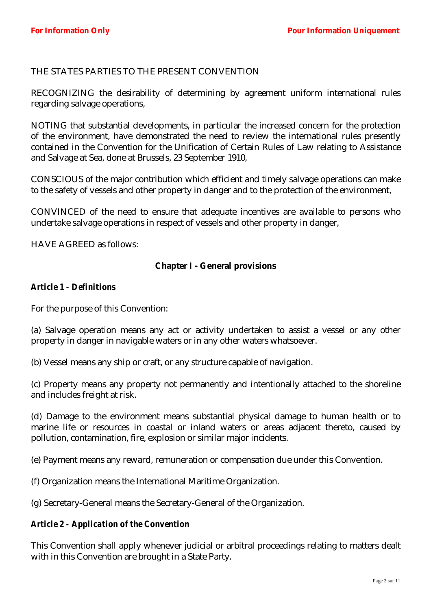## THE STATES PARTIES TO THE PRESENT CONVENTION

RECOGNIZING the desirability of determining by agreement uniform international rules regarding salvage operations,

NOTING that substantial developments, in particular the increased concern for the protection of the environment, have demonstrated the need to review the international rules presently contained in the Convention for the Unification of Certain Rules of Law relating to Assistance and Salvage at Sea, done at Brussels, 23 September 1910,

CONSCIOUS of the major contribution which efficient and timely salvage operations can make to the safety of vessels and other property in danger and to the protection of the environment,

CONVINCED of the need to ensure that adequate incentives are available to persons who undertake salvage operations in respect of vessels and other property in danger,

HAVE AGREED as follows:

## **Chapter I - General provisions**

#### *Article 1 - Definitions*

For the purpose of this Convention:

(a) Salvage operation means any act or activity undertaken to assist a vessel or any other property in danger in navigable waters or in any other waters whatsoever.

(b) Vessel means any ship or craft, or any structure capable of navigation.

(c) Property means any property not permanently and intentionally attached to the shoreline and includes freight at risk.

(d) Damage to the environment means substantial physical damage to human health or to marine life or resources in coastal or inland waters or areas adjacent thereto, caused by pollution, contamination, fire, explosion or similar major incidents.

(e) Payment means any reward, remuneration or compensation due under this Convention.

(f) Organization means the International Maritime Organization.

(g) Secretary-General means the Secretary-General of the Organization.

### *Article 2 - Application of the Convention*

This Convention shall apply whenever judicial or arbitral proceedings relating to matters dealt with in this Convention are brought in a State Party.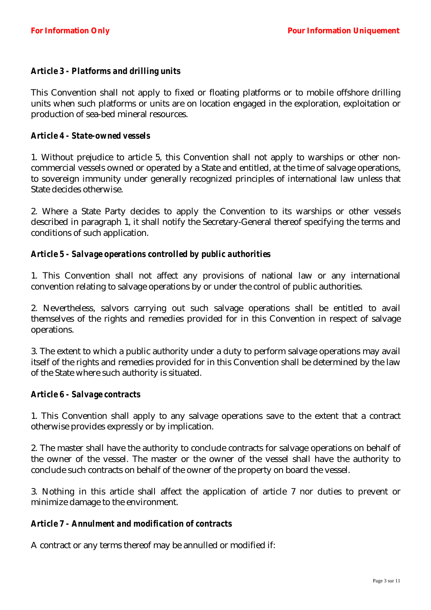## *Article 3 - Platforms and drilling units*

This Convention shall not apply to fixed or floating platforms or to mobile offshore drilling units when such platforms or units are on location engaged in the exploration, exploitation or production of sea-bed mineral resources.

#### *Article 4 - State-owned vessels*

1. Without prejudice to article 5, this Convention shall not apply to warships or other noncommercial vessels owned or operated by a State and entitled, at the time of salvage operations, to sovereign immunity under generally recognized principles of international law unless that State decides otherwise.

2. Where a State Party decides to apply the Convention to its warships or other vessels described in paragraph 1, it shall notify the Secretary-General thereof specifying the terms and conditions of such application.

### *Article 5 - Salvage operations controlled by public authorities*

1. This Convention shall not affect any provisions of national law or any international convention relating to salvage operations by or under the control of public authorities.

2. Nevertheless, salvors carrying out such salvage operations shall be entitled to avail themselves of the rights and remedies provided for in this Convention in respect of salvage operations.

3. The extent to which a public authority under a duty to perform salvage operations may avail itself of the rights and remedies provided for in this Convention shall be determined by the law of the State where such authority is situated.

### *Article 6 - Salvage contracts*

1. This Convention shall apply to any salvage operations save to the extent that a contract otherwise provides expressly or by implication.

2. The master shall have the authority to conclude contracts for salvage operations on behalf of the owner of the vessel. The master or the owner of the vessel shall have the authority to conclude such contracts on behalf of the owner of the property on board the vessel.

3. Nothing in this article shall affect the application of article 7 nor duties to prevent or minimize damage to the environment.

#### *Article 7 - Annulment and modification of contracts*

A contract or any terms thereof may be annulled or modified if: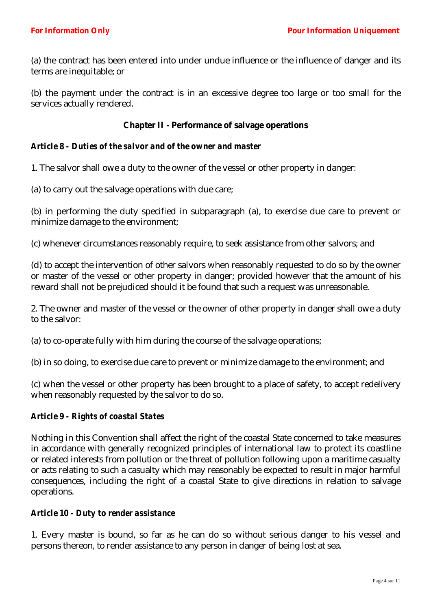(a) the contract has been entered into under undue influence or the influence of danger and its terms are inequitable; or

(b) the payment under the contract is in an excessive degree too large or too small for the services actually rendered.

### **Chapter II - Performance of salvage operations**

#### *Article 8 - Duties of the salvor and of the owner and master*

1. The salvor shall owe a duty to the owner of the vessel or other property in danger:

(a) to carry out the salvage operations with due care;

(b) in performing the duty specified in subparagraph (a), to exercise due care to prevent or minimize damage to the environment;

(c) whenever circumstances reasonably require, to seek assistance from other salvors; and

(d) to accept the intervention of other salvors when reasonably requested to do so by the owner or master of the vessel or other property in danger; provided however that the amount of his reward shall not be prejudiced should it be found that such a request was unreasonable.

2. The owner and master of the vessel or the owner of other property in danger shall owe a duty to the salvor:

(a) to co-operate fully with him during the course of the salvage operations;

(b) in so doing, to exercise due care to prevent or minimize damage to the environment; and

(c) when the vessel or other property has been brought to a place of safety, to accept redelivery when reasonably requested by the salvor to do so.

### *Article 9 - Rights of coastal States*

Nothing in this Convention shall affect the right of the coastal State concerned to take measures in accordance with generally recognized principles of international law to protect its coastline or related interests from pollution or the threat of pollution following upon a maritime casualty or acts relating to such a casualty which may reasonably be expected to result in major harmful consequences, including the right of a coastal State to give directions in relation to salvage operations.

### *Article 10 - Duty to render assistance*

1. Every master is bound, so far as he can do so without serious danger to his vessel and persons thereon, to render assistance to any person in danger of being lost at sea.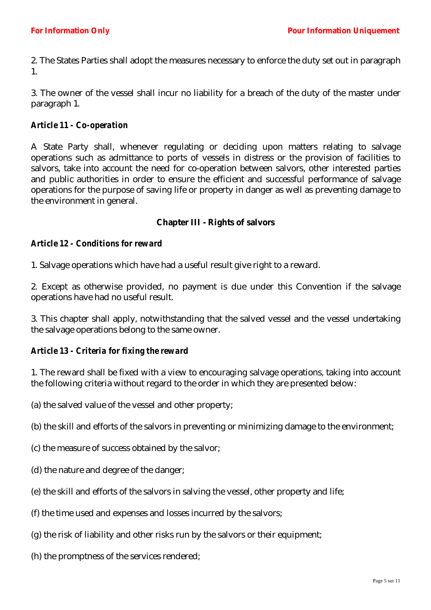2. The States Parties shall adopt the measures necessary to enforce the duty set out in paragraph 1.

3. The owner of the vessel shall incur no liability for a breach of the duty of the master under paragraph 1.

## *Article 11 - Co-operation*

A State Party shall, whenever regulating or deciding upon matters relating to salvage operations such as admittance to ports of vessels in distress or the provision of facilities to salvors, take into account the need for co-operation between salvors, other interested parties and public authorities in order to ensure the efficient and successful performance of salvage operations for the purpose of saving life or property in danger as well as preventing damage to the environment in general.

## **Chapter III - Rights of salvors**

### *Article 12 - Conditions for reward*

1. Salvage operations which have had a useful result give right to a reward.

2. Except as otherwise provided, no payment is due under this Convention if the salvage operations have had no useful result.

3. This chapter shall apply, notwithstanding that the salved vessel and the vessel undertaking the salvage operations belong to the same owner.

### *Article 13 - Criteria for fixing the reward*

1. The reward shall be fixed with a view to encouraging salvage operations, taking into account the following criteria without regard to the order in which they are presented below:

- (a) the salved value of the vessel and other property;
- (b) the skill and efforts of the salvors in preventing or minimizing damage to the environment;
- (c) the measure of success obtained by the salvor;
- (d) the nature and degree of the danger;
- (e) the skill and efforts of the salvors in salving the vessel, other property and life;
- (f) the time used and expenses and losses incurred by the salvors;
- (g) the risk of liability and other risks run by the salvors or their equipment;
- (h) the promptness of the services rendered;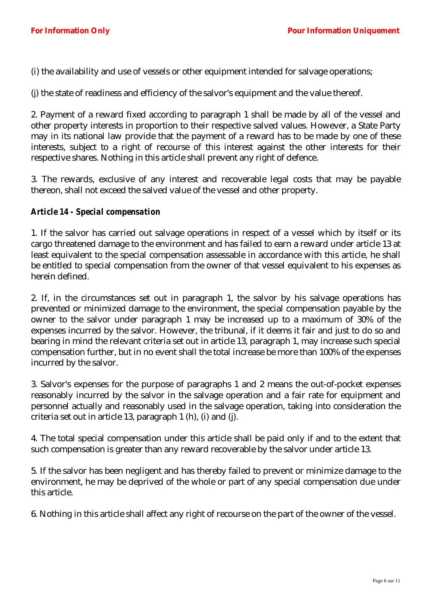(i) the availability and use of vessels or other equipment intended for salvage operations;

(j) the state of readiness and efficiency of the salvor's equipment and the value thereof.

2. Payment of a reward fixed according to paragraph 1 shall be made by all of the vessel and other property interests in proportion to their respective salved values. However, a State Party may in its national law provide that the payment of a reward has to be made by one of these interests, subject to a right of recourse of this interest against the other interests for their respective shares. Nothing in this article shall prevent any right of defence.

3. The rewards, exclusive of any interest and recoverable legal costs that may be payable thereon, shall not exceed the salved value of the vessel and other property.

### *Article 14 - Special compensation*

1. If the salvor has carried out salvage operations in respect of a vessel which by itself or its cargo threatened damage to the environment and has failed to earn a reward under article 13 at least equivalent to the special compensation assessable in accordance with this article, he shall be entitled to special compensation from the owner of that vessel equivalent to his expenses as herein defined.

2. If, in the circumstances set out in paragraph 1, the salvor by his salvage operations has prevented or minimized damage to the environment, the special compensation payable by the owner to the salvor under paragraph 1 may be increased up to a maximum of 30% of the expenses incurred by the salvor. However, the tribunal, if it deems it fair and just to do so and bearing in mind the relevant criteria set out in article 13, paragraph 1, may increase such special compensation further, but in no event shall the total increase be more than 100% of the expenses incurred by the salvor.

3. Salvor's expenses for the purpose of paragraphs 1 and 2 means the out-of-pocket expenses reasonably incurred by the salvor in the salvage operation and a fair rate for equipment and personnel actually and reasonably used in the salvage operation, taking into consideration the criteria set out in article 13, paragraph 1 (h), (i) and (j).

4. The total special compensation under this article shall be paid only if and to the extent that such compensation is greater than any reward recoverable by the salvor under article 13.

5. If the salvor has been negligent and has thereby failed to prevent or minimize damage to the environment, he may be deprived of the whole or part of any special compensation due under this article.

6. Nothing in this article shall affect any right of recourse on the part of the owner of the vessel.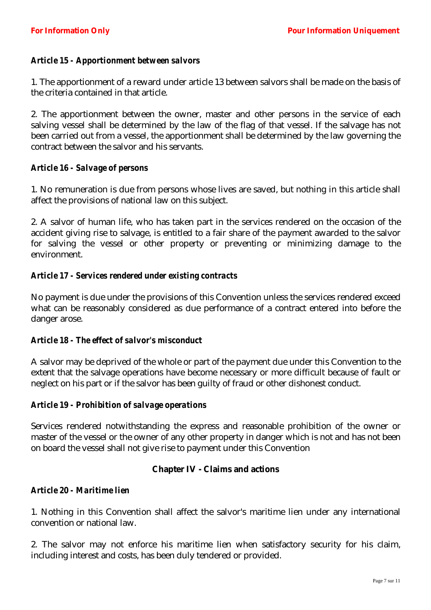## *Article 15 - Apportionment between salvors*

1. The apportionment of a reward under article 13 between salvors shall be made on the basis of the criteria contained in that article.

2. The apportionment between the owner, master and other persons in the service of each salving vessel shall be determined by the law of the flag of that vessel. If the salvage has not been carried out from a vessel, the apportionment shall be determined by the law governing the contract between the salvor and his servants.

## *Article 16 - Salvage of persons*

1. No remuneration is due from persons whose lives are saved, but nothing in this article shall affect the provisions of national law on this subject.

2. A salvor of human life, who has taken part in the services rendered on the occasion of the accident giving rise to salvage, is entitled to a fair share of the payment awarded to the salvor for salving the vessel or other property or preventing or minimizing damage to the environment.

## *Article 17 - Services rendered under existing contracts*

No payment is due under the provisions of this Convention unless the services rendered exceed what can be reasonably considered as due performance of a contract entered into before the danger arose.

### *Article 18 - The effect of salvor's misconduct*

A salvor may be deprived of the whole or part of the payment due under this Convention to the extent that the salvage operations have become necessary or more difficult because of fault or neglect on his part or if the salvor has been guilty of fraud or other dishonest conduct.

### *Article 19 - Prohibition of salvage operations*

Services rendered notwithstanding the express and reasonable prohibition of the owner or master of the vessel or the owner of any other property in danger which is not and has not been on board the vessel shall not give rise to payment under this Convention

### **Chapter IV - Claims and actions**

### *Article 20 - Maritime lien*

1. Nothing in this Convention shall affect the salvor's maritime lien under any international convention or national law.

2. The salvor may not enforce his maritime lien when satisfactory security for his claim, including interest and costs, has been duly tendered or provided.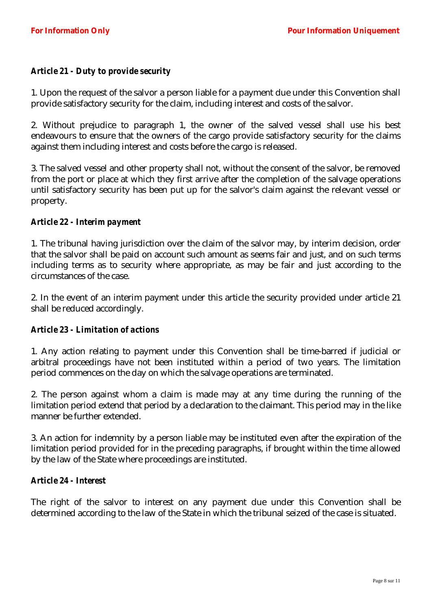## *Article 21 - Duty to provide security*

1. Upon the request of the salvor a person liable for a payment due under this Convention shall provide satisfactory security for the claim, including interest and costs of the salvor.

2. Without prejudice to paragraph 1, the owner of the salved vessel shall use his best endeavours to ensure that the owners of the cargo provide satisfactory security for the claims against them including interest and costs before the cargo is released.

3. The salved vessel and other property shall not, without the consent of the salvor, be removed from the port or place at which they first arrive after the completion of the salvage operations until satisfactory security has been put up for the salvor's claim against the relevant vessel or property.

### *Article 22 - Interim payment*

1. The tribunal having jurisdiction over the claim of the salvor may, by interim decision, order that the salvor shall be paid on account such amount as seems fair and just, and on such terms including terms as to security where appropriate, as may be fair and just according to the circumstances of the case.

2. In the event of an interim payment under this article the security provided under article 21 shall be reduced accordingly.

### *Article 23 - Limitation of actions*

1. Any action relating to payment under this Convention shall be time-barred if judicial or arbitral proceedings have not been instituted within a period of two years. The limitation period commences on the day on which the salvage operations are terminated.

2. The person against whom a claim is made may at any time during the running of the limitation period extend that period by a declaration to the claimant. This period may in the like manner be further extended.

3. An action for indemnity by a person liable may be instituted even after the expiration of the limitation period provided for in the preceding paragraphs, if brought within the time allowed by the law of the State where proceedings are instituted.

## *Article 24 - Interest*

The right of the salvor to interest on any payment due under this Convention shall be determined according to the law of the State in which the tribunal seized of the case is situated.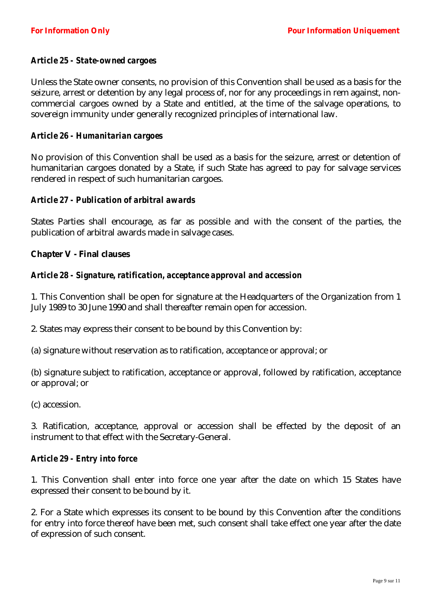#### *Article 25 - State-owned cargoes*

Unless the State owner consents, no provision of this Convention shall be used as a basis for the seizure, arrest or detention by any legal process of, nor for any proceedings in rem against, noncommercial cargoes owned by a State and entitled, at the time of the salvage operations, to sovereign immunity under generally recognized principles of international law.

#### *Article 26 - Humanitarian cargoes*

No provision of this Convention shall be used as a basis for the seizure, arrest or detention of humanitarian cargoes donated by a State, if such State has agreed to pay for salvage services rendered in respect of such humanitarian cargoes.

### *Article 27 - Publication of arbitral awards*

States Parties shall encourage, as far as possible and with the consent of the parties, the publication of arbitral awards made in salvage cases.

#### **Chapter V - Final clauses**

#### *Article 28 - Signature, ratification, acceptance approval and accession*

1. This Convention shall be open for signature at the Headquarters of the Organization from 1 July 1989 to 30 June 1990 and shall thereafter remain open for accession.

2. States may express their consent to be bound by this Convention by:

(a) signature without reservation as to ratification, acceptance or approval; or

(b) signature subject to ratification, acceptance or approval, followed by ratification, acceptance or approval; or

(c) accession.

3. Ratification, acceptance, approval or accession shall be effected by the deposit of an instrument to that effect with the Secretary-General.

#### *Article 29 - Entry into force*

1. This Convention shall enter into force one year after the date on which 15 States have expressed their consent to be bound by it.

2. For a State which expresses its consent to be bound by this Convention after the conditions for entry into force thereof have been met, such consent shall take effect one year after the date of expression of such consent.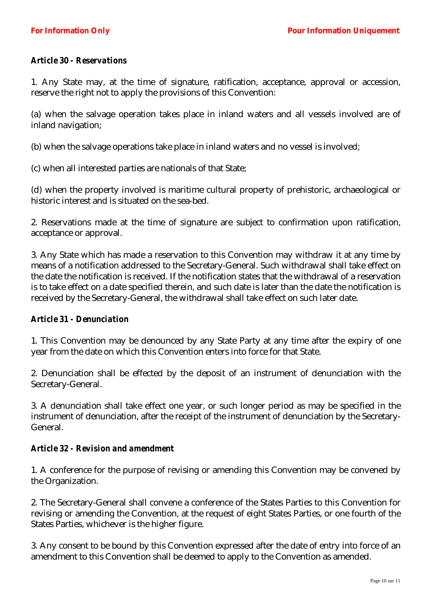## *Article 30 - Reservations*

1. Any State may, at the time of signature, ratification, acceptance, approval or accession, reserve the right not to apply the provisions of this Convention:

(a) when the salvage operation takes place in inland waters and all vessels involved are of inland navigation;

(b) when the salvage operations take place in inland waters and no vessel is involved;

(c) when all interested parties are nationals of that State;

(d) when the property involved is maritime cultural property of prehistoric, archaeological or historic interest and is situated on the sea-bed.

2. Reservations made at the time of signature are subject to confirmation upon ratification, acceptance or approval.

3. Any State which has made a reservation to this Convention may withdraw it at any time by means of a notification addressed to the Secretary-General. Such withdrawal shall take effect on the date the notification is received. If the notification states that the withdrawal of a reservation is to take effect on a date specified therein, and such date is later than the date the notification is received by the Secretary-General, the withdrawal shall take effect on such later date.

### *Article 31 - Denunciation*

1. This Convention may be denounced by any State Party at any time after the expiry of one year from the date on which this Convention enters into force for that State.

2. Denunciation shall be effected by the deposit of an instrument of denunciation with the Secretary-General.

3. A denunciation shall take effect one year, or such longer period as may be specified in the instrument of denunciation, after the receipt of the instrument of denunciation by the Secretary-General.

### *Article 32 - Revision and amendment*

1. A conference for the purpose of revising or amending this Convention may be convened by the Organization.

2. The Secretary-General shall convene a conference of the States Parties to this Convention for revising or amending the Convention, at the request of eight States Parties, or one fourth of the States Parties, whichever is the higher figure.

3. Any consent to be bound by this Convention expressed after the date of entry into force of an amendment to this Convention shall be deemed to apply to the Convention as amended.